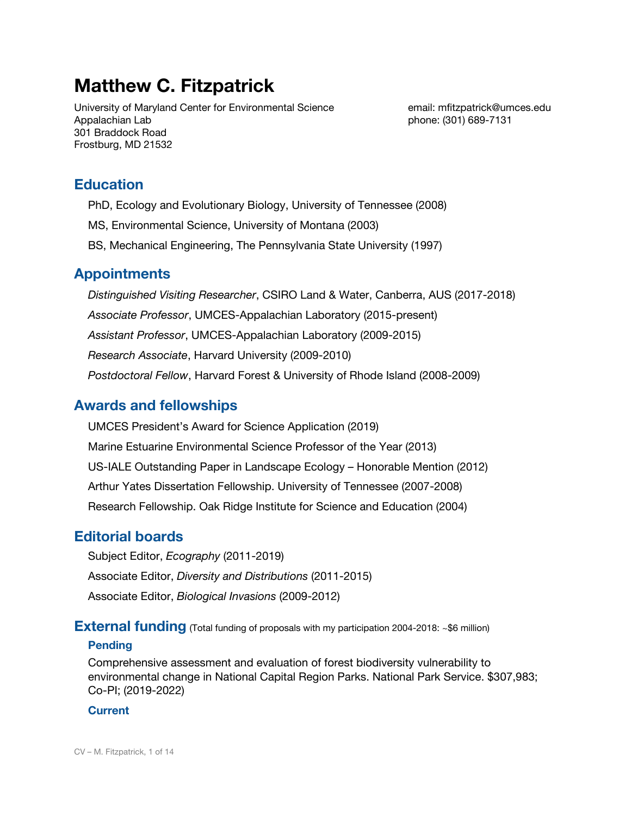# **Matthew C. Fitzpatrick**

University of Maryland Center for Environmental Science email: mfitzpatrick@umces.edu Appalachian Lab **phone: (301) 689-7131** 301 Braddock Road Frostburg, MD 21532

# **Education**

PhD, Ecology and Evolutionary Biology, University of Tennessee (2008)

- MS, Environmental Science, University of Montana (2003)
- BS, Mechanical Engineering, The Pennsylvania State University (1997)

# **Appointments**

*Distinguished Visiting Researcher*, CSIRO Land & Water, Canberra, AUS (2017-2018) *Associate Professor*, UMCES-Appalachian Laboratory (2015-present) *Assistant Professor*, UMCES-Appalachian Laboratory (2009-2015) *Research Associate*, Harvard University (2009-2010) *Postdoctoral Fellow*, Harvard Forest & University of Rhode Island (2008-2009)

# **Awards and fellowships**

UMCES President's Award for Science Application (2019) Marine Estuarine Environmental Science Professor of the Year (2013) US-IALE Outstanding Paper in Landscape Ecology – Honorable Mention (2012) Arthur Yates Dissertation Fellowship. University of Tennessee (2007-2008) Research Fellowship. Oak Ridge Institute for Science and Education (2004)

# **Editorial boards**

Subject Editor, *Ecography* (2011-2019) Associate Editor, *Diversity and Distributions* (2011-2015) Associate Editor, *Biological Invasions* (2009-2012)

# **External funding** (Total funding of proposals with my participation 2004-2018: ~\$6 million)

## **Pending**

Comprehensive assessment and evaluation of forest biodiversity vulnerability to environmental change in National Capital Region Parks. National Park Service. \$307,983; Co-PI; (2019-2022)

## **Current**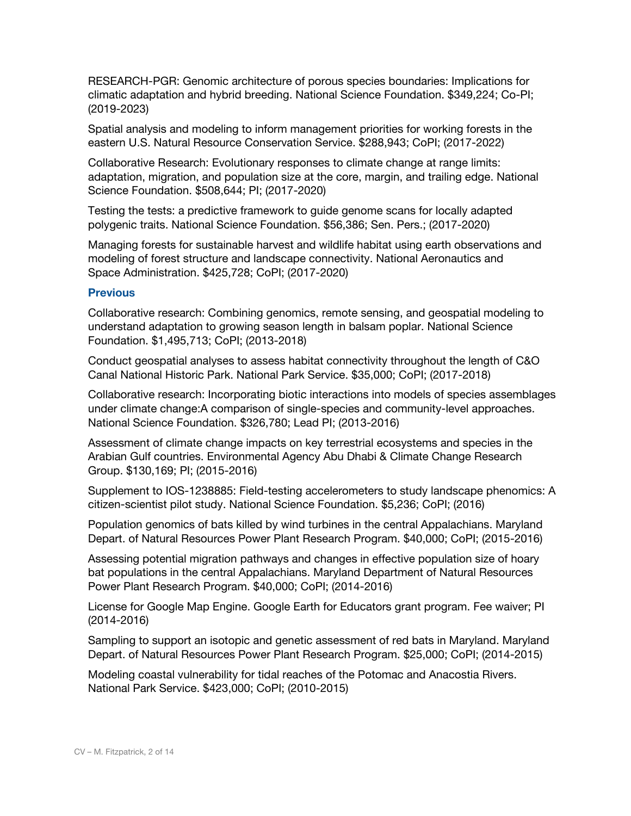RESEARCH-PGR: Genomic architecture of porous species boundaries: Implications for climatic adaptation and hybrid breeding. National Science Foundation. \$349,224; Co-PI; (2019-2023)

Spatial analysis and modeling to inform management priorities for working forests in the eastern U.S. Natural Resource Conservation Service. \$288,943; CoPI; (2017-2022)

Collaborative Research: Evolutionary responses to climate change at range limits: adaptation, migration, and population size at the core, margin, and trailing edge. National Science Foundation. \$508,644; PI; (2017-2020)

Testing the tests: a predictive framework to guide genome scans for locally adapted polygenic traits. National Science Foundation. \$56,386; Sen. Pers.; (2017-2020)

Managing forests for sustainable harvest and wildlife habitat using earth observations and modeling of forest structure and landscape connectivity. National Aeronautics and Space Administration. \$425,728; CoPI; (2017-2020)

#### **Previous**

Collaborative research: Combining genomics, remote sensing, and geospatial modeling to understand adaptation to growing season length in balsam poplar. National Science Foundation. \$1,495,713; CoPI; (2013-2018)

Conduct geospatial analyses to assess habitat connectivity throughout the length of C&O Canal National Historic Park. National Park Service. \$35,000; CoPI; (2017-2018)

Collaborative research: Incorporating biotic interactions into models of species assemblages under climate change:A comparison of single-species and community-level approaches. National Science Foundation. \$326,780; Lead PI; (2013-2016)

Assessment of climate change impacts on key terrestrial ecosystems and species in the Arabian Gulf countries. Environmental Agency Abu Dhabi & Climate Change Research Group. \$130,169; PI; (2015-2016)

Supplement to IOS-1238885: Field-testing accelerometers to study landscape phenomics: A citizen-scientist pilot study. National Science Foundation. \$5,236; CoPI; (2016)

Population genomics of bats killed by wind turbines in the central Appalachians. Maryland Depart. of Natural Resources Power Plant Research Program. \$40,000; CoPI; (2015-2016)

Assessing potential migration pathways and changes in effective population size of hoary bat populations in the central Appalachians. Maryland Department of Natural Resources Power Plant Research Program. \$40,000; CoPI; (2014-2016)

License for Google Map Engine. Google Earth for Educators grant program. Fee waiver; PI (2014-2016)

Sampling to support an isotopic and genetic assessment of red bats in Maryland. Maryland Depart. of Natural Resources Power Plant Research Program. \$25,000; CoPI; (2014-2015)

Modeling coastal vulnerability for tidal reaches of the Potomac and Anacostia Rivers. National Park Service. \$423,000; CoPI; (2010-2015)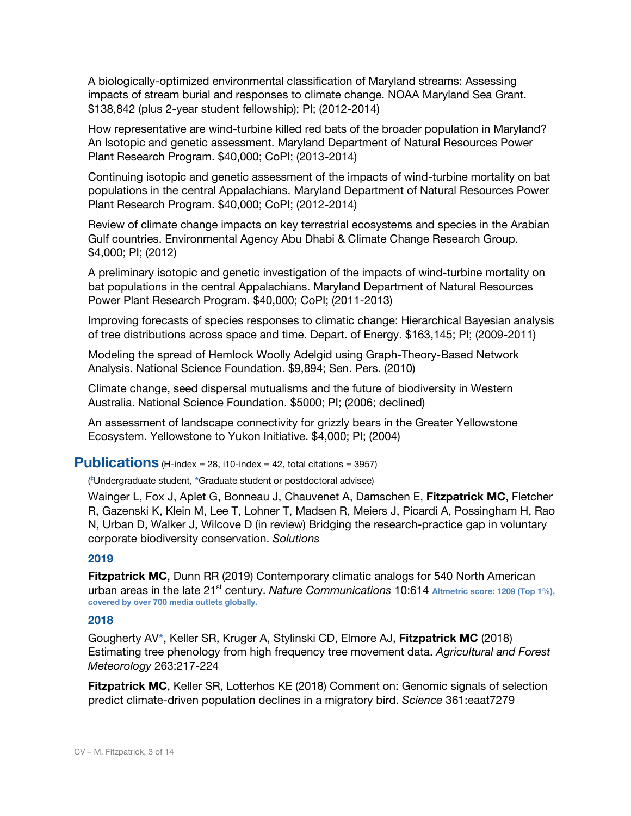A biologically-optimized environmental classification of Maryland streams: Assessing impacts of stream burial and responses to climate change. NOAA Maryland Sea Grant. \$138,842 (plus 2-year student fellowship); PI; (2012-2014)

How representative are wind-turbine killed red bats of the broader population in Maryland? An Isotopic and genetic assessment. Maryland Department of Natural Resources Power Plant Research Program. \$40,000; CoPI; (2013-2014)

Continuing isotopic and genetic assessment of the impacts of wind-turbine mortality on bat populations in the central Appalachians. Maryland Department of Natural Resources Power Plant Research Program. \$40,000; CoPI; (2012-2014)

Review of climate change impacts on key terrestrial ecosystems and species in the Arabian Gulf countries. Environmental Agency Abu Dhabi & Climate Change Research Group. \$4,000; PI; (2012)

A preliminary isotopic and genetic investigation of the impacts of wind-turbine mortality on bat populations in the central Appalachians. Maryland Department of Natural Resources Power Plant Research Program. \$40,000; CoPI; (2011-2013)

Improving forecasts of species responses to climatic change: Hierarchical Bayesian analysis of tree distributions across space and time. Depart. of Energy. \$163,145; PI; (2009-2011)

Modeling the spread of Hemlock Woolly Adelgid using Graph-Theory-Based Network Analysis. National Science Foundation. \$9,894; Sen. Pers. (2010)

Climate change, seed dispersal mutualisms and the future of biodiversity in Western Australia. National Science Foundation. \$5000; PI; (2006; declined)

An assessment of landscape connectivity for grizzly bears in the Greater Yellowstone Ecosystem. Yellowstone to Yukon Initiative. \$4,000; PI; (2004)

#### **Publications** (H-index = 28, i10-index = 42, total citations =  $3957$ )

( **‡**Undergraduate student, **\***Graduate student or postdoctoral advisee)

Wainger L, Fox J, Aplet G, Bonneau J, Chauvenet A, Damschen E, **Fitzpatrick MC**, Fletcher R, Gazenski K, Klein M, Lee T, Lohner T, Madsen R, Meiers J, Picardi A, Possingham H, Rao N, Urban D, Walker J, Wilcove D (in review) Bridging the research-practice gap in voluntary corporate biodiversity conservation. *Solutions*

#### **2019**

**Fitzpatrick MC**, Dunn RR (2019) Contemporary climatic analogs for 540 North American urban areas in the late 21<sup>st</sup> century. *Nature Communications* 10:614 Altmetric score: 1209 (Top 1%), **covered by over 700 media outlets globally.**

#### **2018**

Gougherty AV**\***, Keller SR, Kruger A, Stylinski CD, Elmore AJ, **Fitzpatrick MC** (2018) Estimating tree phenology from high frequency tree movement data. *Agricultural and Forest Meteorology* 263:217-224

**Fitzpatrick MC**, Keller SR, Lotterhos KE (2018) Comment on: Genomic signals of selection predict climate-driven population declines in a migratory bird. *Science* 361:eaat7279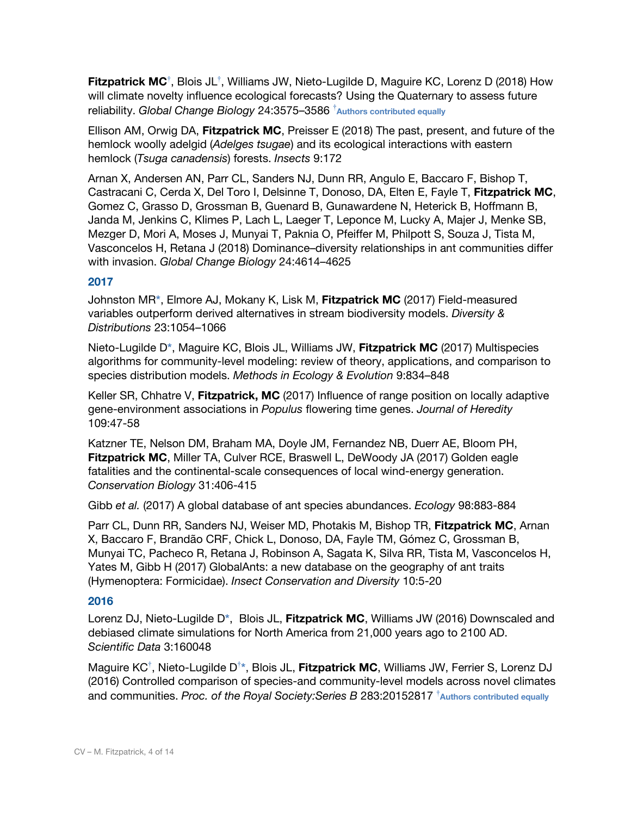**Fitzpatrick MC<sup>†</sup>, Blois JL<sup>†</sup>, Williams JW, Nieto-Lugilde D, Maguire KC, Lorenz D (2018) How** will climate novelty influence ecological forecasts? Using the Quaternary to assess future reliability. *Global Change Biology* 24:3575–3586 **†Authors contributed equally**

Ellison AM, Orwig DA, **Fitzpatrick MC**, Preisser E (2018) The past, present, and future of the hemlock woolly adelgid (*Adelges tsugae*) and its ecological interactions with eastern hemlock (*Tsuga canadensis*) forests. *Insects* 9:172

Arnan X, Andersen AN, Parr CL, Sanders NJ, Dunn RR, Angulo E, Baccaro F, Bishop T, Castracani C, Cerda X, Del Toro I, Delsinne T, Donoso, DA, Elten E, Fayle T, **Fitzpatrick MC**, Gomez C, Grasso D, Grossman B, Guenard B, Gunawardene N, Heterick B, Hoffmann B, Janda M, Jenkins C, Klimes P, Lach L, Laeger T, Leponce M, Lucky A, Majer J, Menke SB, Mezger D, Mori A, Moses J, Munyai T, Paknia O, Pfeiffer M, Philpott S, Souza J, Tista M, Vasconcelos H, Retana J (2018) Dominance–diversity relationships in ant communities differ with invasion. *Global Change Biology* 24:4614–4625

## **2017**

Johnston MR**\***, Elmore AJ, Mokany K, Lisk M, **Fitzpatrick MC** (2017) Field-measured variables outperform derived alternatives in stream biodiversity models. *Diversity & Distributions* 23:1054–1066

Nieto-Lugilde D**\***, Maguire KC, Blois JL, Williams JW, **Fitzpatrick MC** (2017) Multispecies algorithms for community-level modeling: review of theory, applications, and comparison to species distribution models. *Methods in Ecology & Evolution* 9:834–848

Keller SR, Chhatre V, **Fitzpatrick, MC** (2017) Influence of range position on locally adaptive gene-environment associations in *Populus* flowering time genes. *Journal of Heredity* 109:47-58

Katzner TE, Nelson DM, Braham MA, Doyle JM, Fernandez NB, Duerr AE, Bloom PH, **Fitzpatrick MC**, Miller TA, Culver RCE, Braswell L, DeWoody JA (2017) Golden eagle fatalities and the continental-scale consequences of local wind-energy generation. *Conservation Biology* 31:406-415

Gibb *et al.* (2017) A global database of ant species abundances. *Ecology* 98:883-884

Parr CL, Dunn RR, Sanders NJ, Weiser MD, Photakis M, Bishop TR, **Fitzpatrick MC**, Arnan X, Baccaro F, Brandão CRF, Chick L, Donoso, DA, Fayle TM, Gómez C, Grossman B, Munyai TC, Pacheco R, Retana J, Robinson A, Sagata K, Silva RR, Tista M, Vasconcelos H, Yates M, Gibb H (2017) GlobalAnts: a new database on the geography of ant traits (Hymenoptera: Formicidae). *Insect Conservation and Diversity* 10:5-20

## **2016**

Lorenz DJ, Nieto-Lugilde D**\***, Blois JL, **Fitzpatrick MC**, Williams JW (2016) Downscaled and debiased climate simulations for North America from 21,000 years ago to 2100 AD. *Scientific Data* 3:160048

Maguire KC **†** , Nieto-Lugilde D **† \***, Blois JL, **Fitzpatrick MC**, Williams JW, Ferrier S, Lorenz DJ (2016) Controlled comparison of species-and community-level models across novel climates and communities. *Proc. of the Royal Society:Series B* 283:20152817 **†Authors contributed equally**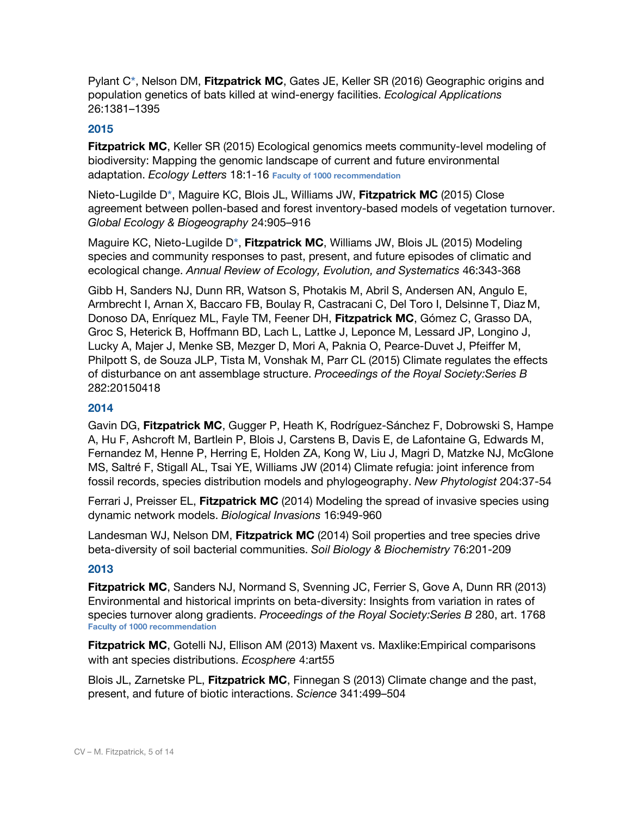Pylant C**\***, Nelson DM, **Fitzpatrick MC**, Gates JE, Keller SR (2016) Geographic origins and population genetics of bats killed at wind‐energy facilities. *Ecological Applications* 26:1381–1395

#### **2015**

**Fitzpatrick MC**, Keller SR (2015) Ecological genomics meets community-level modeling of biodiversity: Mapping the genomic landscape of current and future environmental adaptation. *Ecology Letters* 18:1-16 **Faculty of 1000 recommendation**

Nieto-Lugilde D**\***, Maguire KC, Blois JL, Williams JW, **Fitzpatrick MC** (2015) Close agreement between pollen-based and forest inventory-based models of vegetation turnover. *Global Ecology & Biogeography* 24:905–916

Maguire KC, Nieto-Lugilde D**\***, **Fitzpatrick MC**, Williams JW, Blois JL (2015) Modeling species and community responses to past, present, and future episodes of climatic and ecological change. *Annual Review of Ecology, Evolution, and Systematics* 46:343-368

Gibb H, Sanders NJ, Dunn RR, Watson S, Photakis M, Abril S, Andersen AN, Angulo E, Armbrecht I, Arnan X, Baccaro FB, Boulay R, Castracani C, Del Toro I, Delsinne T, Diaz M, Donoso DA, Enríquez ML, Fayle TM, Feener DH, **Fitzpatrick MC**, Gómez C, Grasso DA, Groc S, Heterick B, Hoffmann BD, Lach L, Lattke J, Leponce M, Lessard JP, Longino J, Lucky A, Majer J, Menke SB, Mezger D, Mori A, Paknia O, Pearce-Duvet J, Pfeiffer M, Philpott S, de Souza JLP, Tista M, Vonshak M, Parr CL (2015) Climate regulates the effects of disturbance on ant assemblage structure. *Proceedings of the Royal Society:Series B* 282:20150418

## **2014**

Gavin DG, **Fitzpatrick MC**, Gugger P, Heath K, Rodríguez-Sánchez F, Dobrowski S, Hampe A, Hu F, Ashcroft M, Bartlein P, Blois J, Carstens B, Davis E, de Lafontaine G, Edwards M, Fernandez M, Henne P, Herring E, Holden ZA, Kong W, Liu J, Magri D, Matzke NJ, McGlone MS, Saltré F, Stigall AL, Tsai YE, Williams JW (2014) Climate refugia: joint inference from fossil records, species distribution models and phylogeography. *New Phytologist* 204:37-54

Ferrari J, Preisser EL, **Fitzpatrick MC** (2014) Modeling the spread of invasive species using dynamic network models. *Biological Invasions* 16:949-960

Landesman WJ, Nelson DM, **Fitzpatrick MC** (2014) Soil properties and tree species drive beta-diversity of soil bacterial communities. *Soil Biology & Biochemistry* 76:201-209

## **2013**

**Fitzpatrick MC**, Sanders NJ, Normand S, Svenning JC, Ferrier S, Gove A, Dunn RR (2013) Environmental and historical imprints on beta-diversity: Insights from variation in rates of species turnover along gradients. *Proceedings of the Royal Society:Series B* 280, art. 1768 **Faculty of 1000 recommendation**

**Fitzpatrick MC**, Gotelli NJ, Ellison AM (2013) Maxent vs. Maxlike:Empirical comparisons with ant species distributions. *Ecosphere* 4:art55

Blois JL, Zarnetske PL, **Fitzpatrick MC**, Finnegan S (2013) Climate change and the past, present, and future of biotic interactions. *Science* 341:499–504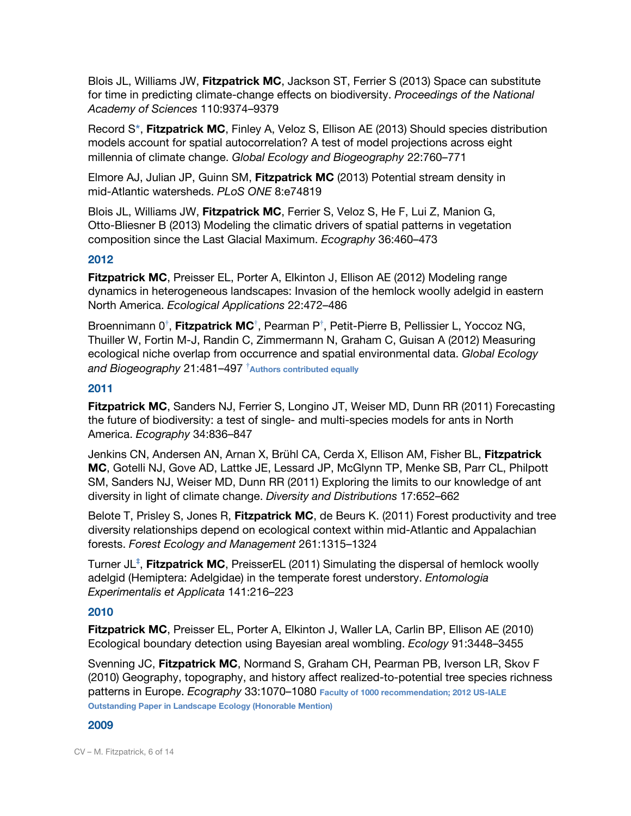Blois JL, Williams JW, **Fitzpatrick MC**, Jackson ST, Ferrier S (2013) Space can substitute for time in predicting climate-change effects on biodiversity. *Proceedings of the National Academy of Sciences* 110:9374–9379

Record S**\***, **Fitzpatrick MC**, Finley A, Veloz S, Ellison AE (2013) Should species distribution models account for spatial autocorrelation? A test of model projections across eight millennia of climate change. *Global Ecology and Biogeography* 22:760–771

Elmore AJ, Julian JP, Guinn SM, **Fitzpatrick MC** (2013) Potential stream density in mid-Atlantic watersheds. *PLoS ONE* 8:e74819

Blois JL, Williams JW, **Fitzpatrick MC**, Ferrier S, Veloz S, He F, Lui Z, Manion G, Otto-Bliesner B (2013) Modeling the climatic drivers of spatial patterns in vegetation composition since the Last Glacial Maximum. *Ecography* 36:460–473

## **2012**

**Fitzpatrick MC**, Preisser EL, Porter A, Elkinton J, Ellison AE (2012) Modeling range dynamics in heterogeneous landscapes: Invasion of the hemlock woolly adelgid in eastern North America. *Ecological Applications* 22:472–486

Broennimann 0<sup>†</sup>, Fitzpatrick MC<sup>†</sup>, Pearman P<sup>†</sup>, Petit-Pierre B, Pellissier L, Yoccoz NG, Thuiller W, Fortin M-J, Randin C, Zimmermann N, Graham C, Guisan A (2012) Measuring ecological niche overlap from occurrence and spatial environmental data. *Global Ecology and Biogeography* 21:481–497 **†Authors contributed equally**

#### **2011**

**Fitzpatrick MC**, Sanders NJ, Ferrier S, Longino JT, Weiser MD, Dunn RR (2011) Forecasting the future of biodiversity: a test of single- and multi-species models for ants in North America. *Ecography* 34:836–847

Jenkins CN, Andersen AN, Arnan X, Brühl CA, Cerda X, Ellison AM, Fisher BL, **Fitzpatrick MC**, Gotelli NJ, Gove AD, Lattke JE, Lessard JP, McGlynn TP, Menke SB, Parr CL, Philpott SM, Sanders NJ, Weiser MD, Dunn RR (2011) Exploring the limits to our knowledge of ant diversity in light of climate change. *Diversity and Distributions* 17:652–662

Belote T, Prisley S, Jones R, **Fitzpatrick MC**, de Beurs K. (2011) Forest productivity and tree diversity relationships depend on ecological context within mid-Atlantic and Appalachian forests. *Forest Ecology and Management* 261:1315–1324

Turner JL **‡** , **Fitzpatrick MC**, PreisserEL (2011) Simulating the dispersal of hemlock woolly adelgid (Hemiptera: Adelgidae) in the temperate forest understory. *Entomologia Experimentalis et Applicata* 141:216–223

## **2010**

**Fitzpatrick MC**, Preisser EL, Porter A, Elkinton J, Waller LA, Carlin BP, Ellison AE (2010) Ecological boundary detection using Bayesian areal wombling. *Ecology* 91:3448–3455

Svenning JC, **Fitzpatrick MC**, Normand S, Graham CH, Pearman PB, Iverson LR, Skov F (2010) Geography, topography, and history affect realized-to-potential tree species richness patterns in Europe. *Ecography* 33:1070–1080 **Faculty of 1000 recommendation; 2012 US-IALE Outstanding Paper in Landscape Ecology (Honorable Mention)**

#### **2009**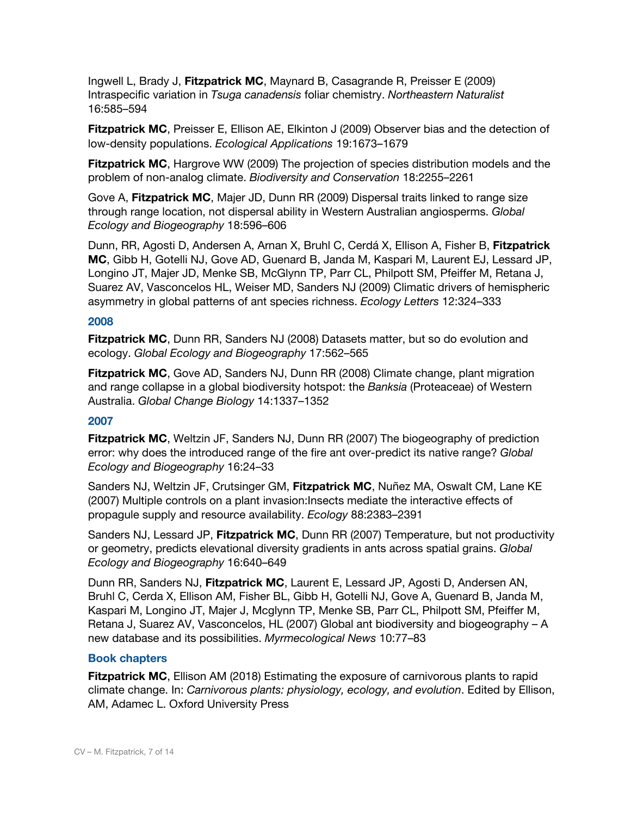Ingwell L, Brady J, **Fitzpatrick MC**, Maynard B, Casagrande R, Preisser E (2009) Intraspecific variation in *Tsuga canadensis* foliar chemistry. *Northeastern Naturalist* 16:585–594

**Fitzpatrick MC**, Preisser E, Ellison AE, Elkinton J (2009) Observer bias and the detection of low-density populations. *Ecological Applications* 19:1673–1679

**Fitzpatrick MC**, Hargrove WW (2009) The projection of species distribution models and the problem of non-analog climate. *Biodiversity and Conservation* 18:2255–2261

Gove A, **Fitzpatrick MC**, Majer JD, Dunn RR (2009) Dispersal traits linked to range size through range location, not dispersal ability in Western Australian angiosperms. *Global Ecology and Biogeography* 18:596–606

Dunn, RR, Agosti D, Andersen A, Arnan X, Bruhl C, Cerdá X, Ellison A, Fisher B, **Fitzpatrick MC**, Gibb H, Gotelli NJ, Gove AD, Guenard B, Janda M, Kaspari M, Laurent EJ, Lessard JP, Longino JT, Majer JD, Menke SB, McGlynn TP, Parr CL, Philpott SM, Pfeiffer M, Retana J, Suarez AV, Vasconcelos HL, Weiser MD, Sanders NJ (2009) Climatic drivers of hemispheric asymmetry in global patterns of ant species richness. *Ecology Letters* 12:324–333

#### **2008**

**Fitzpatrick MC**, Dunn RR, Sanders NJ (2008) Datasets matter, but so do evolution and ecology. *Global Ecology and Biogeography* 17:562–565

**Fitzpatrick MC**, Gove AD, Sanders NJ, Dunn RR (2008) Climate change, plant migration and range collapse in a global biodiversity hotspot: the *Banksia* (Proteaceae) of Western Australia. *Global Change Biology* 14:1337–1352

#### **2007**

**Fitzpatrick MC**, Weltzin JF, Sanders NJ, Dunn RR (2007) The biogeography of prediction error: why does the introduced range of the fire ant over-predict its native range? *Global Ecology and Biogeography* 16:24–33

Sanders NJ, Weltzin JF, Crutsinger GM, **Fitzpatrick MC**, Nuñez MA, Oswalt CM, Lane KE (2007) Multiple controls on a plant invasion:Insects mediate the interactive effects of propagule supply and resource availability. *Ecology* 88:2383–2391

Sanders NJ, Lessard JP, **Fitzpatrick MC**, Dunn RR (2007) Temperature, but not productivity or geometry, predicts elevational diversity gradients in ants across spatial grains. *Global Ecology and Biogeography* 16:640–649

Dunn RR, Sanders NJ, **Fitzpatrick MC**, Laurent E, Lessard JP, Agosti D, Andersen AN, Bruhl C, Cerda X, Ellison AM, Fisher BL, Gibb H, Gotelli NJ, Gove A, Guenard B, Janda M, Kaspari M, Longino JT, Majer J, Mcglynn TP, Menke SB, Parr CL, Philpott SM, Pfeiffer M, Retana J, Suarez AV, Vasconcelos, HL (2007) Global ant biodiversity and biogeography – A new database and its possibilities. *Myrmecological News* 10:77–83

#### **Book chapters**

**Fitzpatrick MC**, Ellison AM (2018) Estimating the exposure of carnivorous plants to rapid climate change. In: *Carnivorous plants: physiology, ecology, and evolution*. Edited by Ellison, AM, Adamec L. Oxford University Press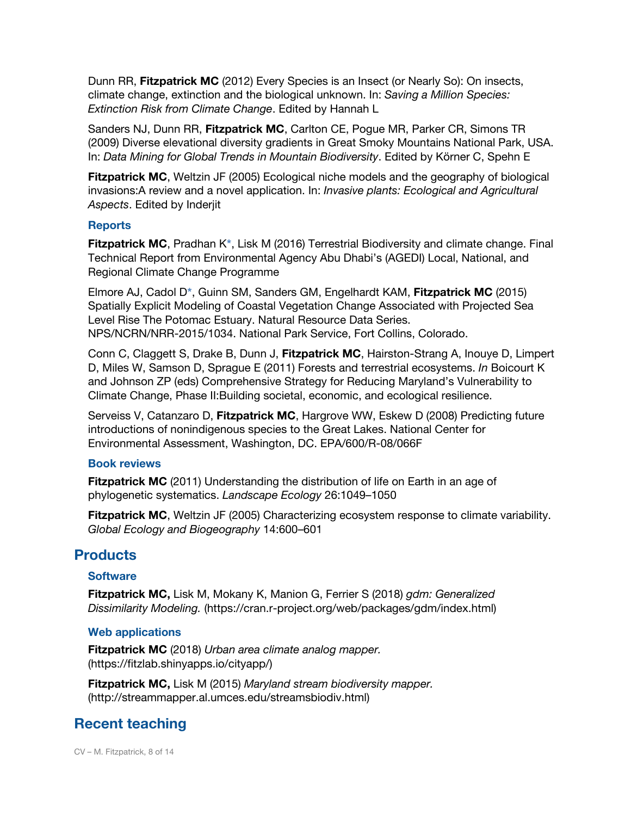Dunn RR, **Fitzpatrick MC** (2012) Every Species is an Insect (or Nearly So): On insects, climate change, extinction and the biological unknown. In: *Saving a Million Species: Extinction Risk from Climate Change*. Edited by Hannah L

Sanders NJ, Dunn RR, **Fitzpatrick MC**, Carlton CE, Pogue MR, Parker CR, Simons TR (2009) Diverse elevational diversity gradients in Great Smoky Mountains National Park, USA. In: *Data Mining for Global Trends in Mountain Biodiversity*. Edited by Körner C, Spehn E

**Fitzpatrick MC**, Weltzin JF (2005) Ecological niche models and the geography of biological invasions:A review and a novel application. In: *Invasive plants: Ecological and Agricultural Aspects*. Edited by Inderjit

#### **Reports**

**Fitzpatrick MC**, Pradhan K**\***, Lisk M (2016) Terrestrial Biodiversity and climate change. Final Technical Report from Environmental Agency Abu Dhabi's (AGEDI) Local, National, and Regional Climate Change Programme

Elmore AJ, Cadol D**\***, Guinn SM, Sanders GM, Engelhardt KAM, **Fitzpatrick MC** (2015) Spatially Explicit Modeling of Coastal Vegetation Change Associated with Projected Sea Level Rise The Potomac Estuary. Natural Resource Data Series. NPS/NCRN/NRR-2015/1034. National Park Service, Fort Collins, Colorado.

Conn C, Claggett S, Drake B, Dunn J, **Fitzpatrick MC**, Hairston-Strang A, Inouye D, Limpert D, Miles W, Samson D, Sprague E (2011) Forests and terrestrial ecosystems. *In* Boicourt K and Johnson ZP (eds) Comprehensive Strategy for Reducing Maryland's Vulnerability to Climate Change, Phase II:Building societal, economic, and ecological resilience.

Serveiss V, Catanzaro D, **Fitzpatrick MC**, Hargrove WW, Eskew D (2008) Predicting future introductions of nonindigenous species to the Great Lakes. National Center for Environmental Assessment, Washington, DC. EPA/600/R-08/066F

#### **Book reviews**

**Fitzpatrick MC** (2011) Understanding the distribution of life on Earth in an age of phylogenetic systematics. *Landscape Ecology* 26:1049–1050

**Fitzpatrick MC**, Weltzin JF (2005) Characterizing ecosystem response to climate variability. *Global Ecology and Biogeography* 14:600–601

## **Products**

#### **Software**

**Fitzpatrick MC,** Lisk M, Mokany K, Manion G, Ferrier S (2018) *gdm: Generalized Dissimilarity Modeling.* (https://cran.r-project.org/web/packages/gdm/index.html)

#### **Web applications**

**Fitzpatrick MC** (2018) *Urban area climate analog mapper.* (https://fitzlab.shinyapps.io/cityapp/)

**Fitzpatrick MC,** Lisk M (2015) *Maryland stream biodiversity mapper.* (http://streammapper.al.umces.edu/streamsbiodiv.html)

# **Recent teaching**

CV – M. Fitzpatrick, 8 of 14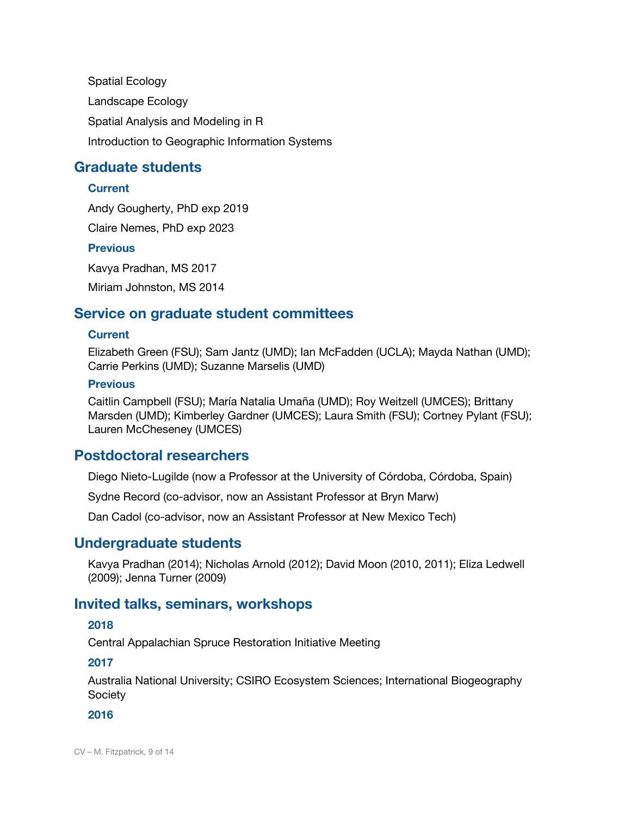Spatial Ecology Landscape Ecology Spatial Analysis and Modeling in R Introduction to Geographic Information Systems

# **Graduate students**

## **Current**

Andy Gougherty, PhD exp 2019

Claire Nemes, PhD exp 2023

## **Previous**

Kavya Pradhan, MS 2017 Miriam Johnston, MS 2014

# **Service on graduate student committees**

## **Current**

Elizabeth Green (FSU); Sam Jantz (UMD); Ian McFadden (UCLA); Mayda Nathan (UMD); Carrie Perkins (UMD); Suzanne Marselis (UMD)

## **Previous**

Caitlin Campbell (FSU); María Natalia Umaña (UMD); Roy Weitzell (UMCES); Brittany Marsden (UMD); Kimberley Gardner (UMCES); Laura Smith (FSU); Cortney Pylant (FSU); Lauren McCheseney (UMCES)

# **Postdoctoral researchers**

Diego Nieto-Lugilde (now a Professor at the University of Córdoba, Córdoba, Spain)

Sydne Record (co-advisor, now an Assistant Professor at Bryn Marw)

Dan Cadol (co-advisor, now an Assistant Professor at New Mexico Tech)

# **Undergraduate students**

Kavya Pradhan (2014); Nicholas Arnold (2012); David Moon (2010, 2011); Eliza Ledwell (2009); Jenna Turner (2009)

# **Invited talks, seminars, workshops**

## **2018**

Central Appalachian Spruce Restoration Initiative Meeting

## **2017**

Australia National University; CSIRO Ecosystem Sciences; International Biogeography **Society** 

## **2016**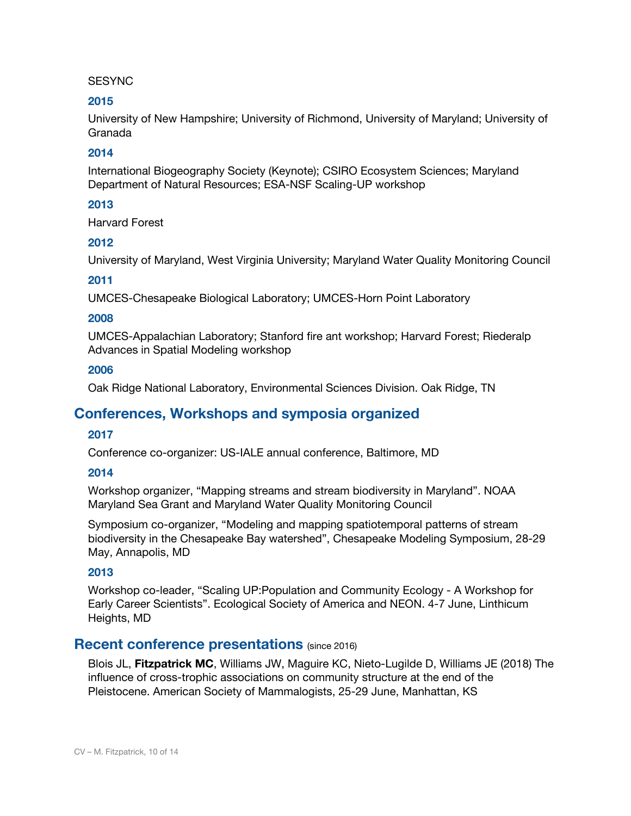#### **SESYNC**

## **2015**

University of New Hampshire; University of Richmond, University of Maryland; University of Granada

## **2014**

International Biogeography Society (Keynote); CSIRO Ecosystem Sciences; Maryland Department of Natural Resources; ESA-NSF Scaling-UP workshop

## **2013**

Harvard Forest

## **2012**

University of Maryland, West Virginia University; Maryland Water Quality Monitoring Council

## **2011**

UMCES-Chesapeake Biological Laboratory; UMCES-Horn Point Laboratory

## **2008**

UMCES-Appalachian Laboratory; Stanford fire ant workshop; Harvard Forest; Riederalp Advances in Spatial Modeling workshop

## **2006**

Oak Ridge National Laboratory, Environmental Sciences Division. Oak Ridge, TN

# **Conferences, Workshops and symposia organized**

## **2017**

Conference co-organizer: US-IALE annual conference, Baltimore, MD

## **2014**

Workshop organizer, "Mapping streams and stream biodiversity in Maryland". NOAA Maryland Sea Grant and Maryland Water Quality Monitoring Council

Symposium co-organizer, "Modeling and mapping spatiotemporal patterns of stream biodiversity in the Chesapeake Bay watershed", Chesapeake Modeling Symposium, 28-29 May, Annapolis, MD

## **2013**

Workshop co-leader, "Scaling UP:Population and Community Ecology - A Workshop for Early Career Scientists". Ecological Society of America and NEON. 4-7 June, Linthicum Heights, MD

## **Recent conference presentations** (since 2016)

Blois JL, **Fitzpatrick MC**, Williams JW, Maguire KC, Nieto-Lugilde D, Williams JE (2018) The influence of cross-trophic associations on community structure at the end of the Pleistocene. American Society of Mammalogists, 25-29 June, Manhattan, KS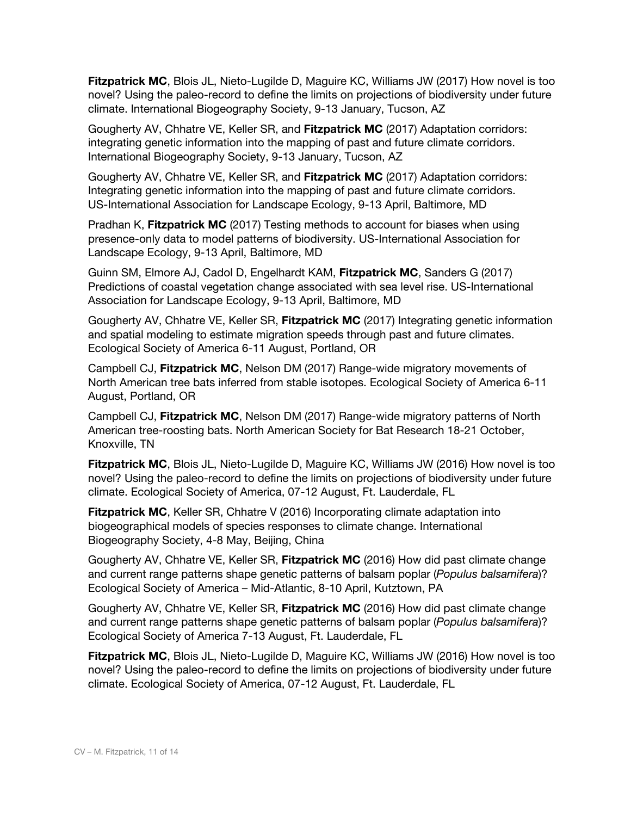**Fitzpatrick MC**, Blois JL, Nieto-Lugilde D, Maguire KC, Williams JW (2017) How novel is too novel? Using the paleo-record to define the limits on projections of biodiversity under future climate. International Biogeography Society, 9-13 January, Tucson, AZ

Gougherty AV, Chhatre VE, Keller SR, and **Fitzpatrick MC** (2017) Adaptation corridors: integrating genetic information into the mapping of past and future climate corridors. International Biogeography Society, 9-13 January, Tucson, AZ

Gougherty AV, Chhatre VE, Keller SR, and **Fitzpatrick MC** (2017) Adaptation corridors: Integrating genetic information into the mapping of past and future climate corridors. US-International Association for Landscape Ecology, 9-13 April, Baltimore, MD

Pradhan K, **Fitzpatrick MC** (2017) Testing methods to account for biases when using presence-only data to model patterns of biodiversity. US-International Association for Landscape Ecology, 9-13 April, Baltimore, MD

Guinn SM, Elmore AJ, Cadol D, Engelhardt KAM, **Fitzpatrick MC**, Sanders G (2017) Predictions of coastal vegetation change associated with sea level rise. US-International Association for Landscape Ecology, 9-13 April, Baltimore, MD

Gougherty AV, Chhatre VE, Keller SR, **Fitzpatrick MC** (2017) Integrating genetic information and spatial modeling to estimate migration speeds through past and future climates. Ecological Society of America 6-11 August, Portland, OR

Campbell CJ, **Fitzpatrick MC**, Nelson DM (2017) Range-wide migratory movements of North American tree bats inferred from stable isotopes. Ecological Society of America 6-11 August, Portland, OR

Campbell CJ, **Fitzpatrick MC**, Nelson DM (2017) Range-wide migratory patterns of North American tree-roosting bats. North American Society for Bat Research 18-21 October, Knoxville, TN

**Fitzpatrick MC**, Blois JL, Nieto-Lugilde D, Maguire KC, Williams JW (2016) How novel is too novel? Using the paleo-record to define the limits on projections of biodiversity under future climate. Ecological Society of America, 07-12 August, Ft. Lauderdale, FL

**Fitzpatrick MC**, Keller SR, Chhatre V (2016) Incorporating climate adaptation into biogeographical models of species responses to climate change. International Biogeography Society, 4-8 May, Beijing, China

Gougherty AV, Chhatre VE, Keller SR, **Fitzpatrick MC** (2016) How did past climate change and current range patterns shape genetic patterns of balsam poplar (*Populus balsamifera*)? Ecological Society of America – Mid-Atlantic, 8-10 April, Kutztown, PA

Gougherty AV, Chhatre VE, Keller SR, **Fitzpatrick MC** (2016) How did past climate change and current range patterns shape genetic patterns of balsam poplar (*Populus balsamifera*)? Ecological Society of America 7-13 August, Ft. Lauderdale, FL

**Fitzpatrick MC**, Blois JL, Nieto-Lugilde D, Maguire KC, Williams JW (2016) How novel is too novel? Using the paleo-record to define the limits on projections of biodiversity under future climate. Ecological Society of America, 07-12 August, Ft. Lauderdale, FL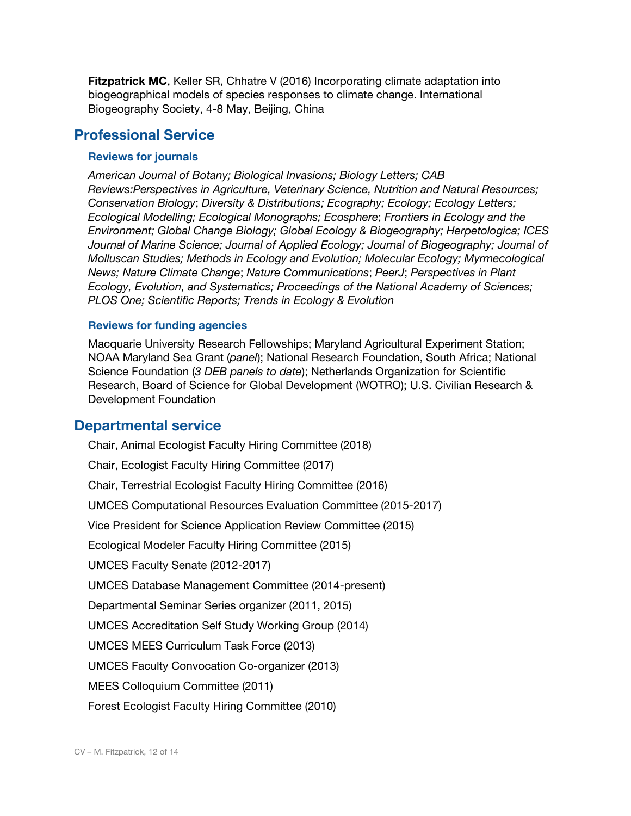**Fitzpatrick MC**, Keller SR, Chhatre V (2016) Incorporating climate adaptation into biogeographical models of species responses to climate change. International Biogeography Society, 4-8 May, Beijing, China

# **Professional Service**

## **Reviews for journals**

*American Journal of Botany; Biological Invasions; Biology Letters; CAB Reviews:Perspectives in Agriculture, Veterinary Science, Nutrition and Natural Resources; Conservation Biology*; *Diversity & Distributions; Ecography; Ecology; Ecology Letters; Ecological Modelling; Ecological Monographs; Ecosphere*; *Frontiers in Ecology and the Environment; Global Change Biology; Global Ecology & Biogeography; Herpetologica; ICES Journal of Marine Science; Journal of Applied Ecology; Journal of Biogeography; Journal of Molluscan Studies; Methods in Ecology and Evolution; Molecular Ecology; Myrmecological News; Nature Climate Change*; *Nature Communications*; *PeerJ*; *Perspectives in Plant Ecology, Evolution, and Systematics; Proceedings of the National Academy of Sciences; PLOS One; Scientific Reports; Trends in Ecology & Evolution*

#### **Reviews for funding agencies**

Macquarie University Research Fellowships; Maryland Agricultural Experiment Station; NOAA Maryland Sea Grant (*panel*); National Research Foundation, South Africa; National Science Foundation (*3 DEB panels to date*); Netherlands Organization for Scientific Research, Board of Science for Global Development (WOTRO); U.S. Civilian Research & Development Foundation

## **Departmental service**

Chair, Animal Ecologist Faculty Hiring Committee (2018) Chair, Ecologist Faculty Hiring Committee (2017) Chair, Terrestrial Ecologist Faculty Hiring Committee (2016) UMCES Computational Resources Evaluation Committee (2015-2017) Vice President for Science Application Review Committee (2015) Ecological Modeler Faculty Hiring Committee (2015) UMCES Faculty Senate (2012-2017) UMCES Database Management Committee (2014-present) Departmental Seminar Series organizer (2011, 2015) UMCES Accreditation Self Study Working Group (2014) UMCES MEES Curriculum Task Force (2013) UMCES Faculty Convocation Co-organizer (2013) MEES Colloquium Committee (2011) Forest Ecologist Faculty Hiring Committee (2010)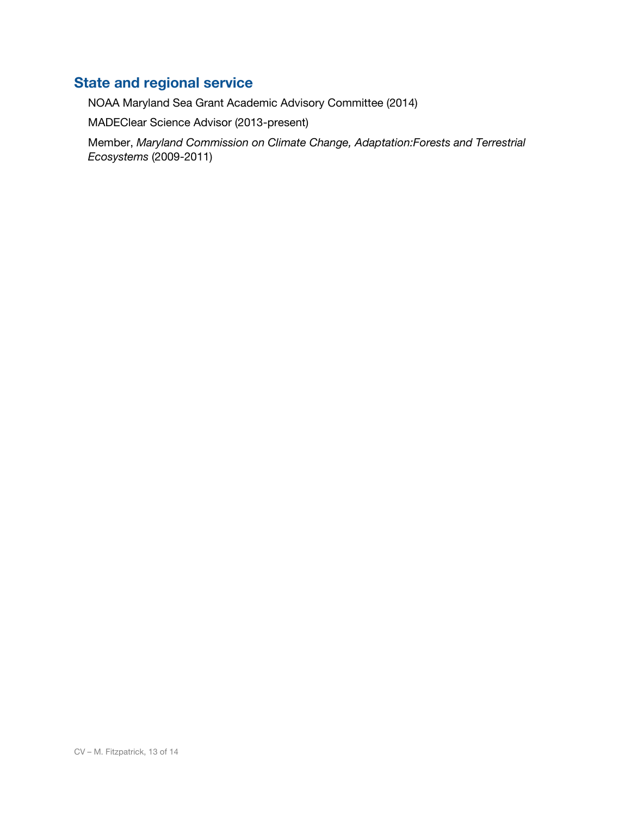# **State and regional service**

NOAA Maryland Sea Grant Academic Advisory Committee (2014)

MADEClear Science Advisor (2013-present)

Member, *Maryland Commission on Climate Change, Adaptation:Forests and Terrestrial Ecosystems* (2009-2011)